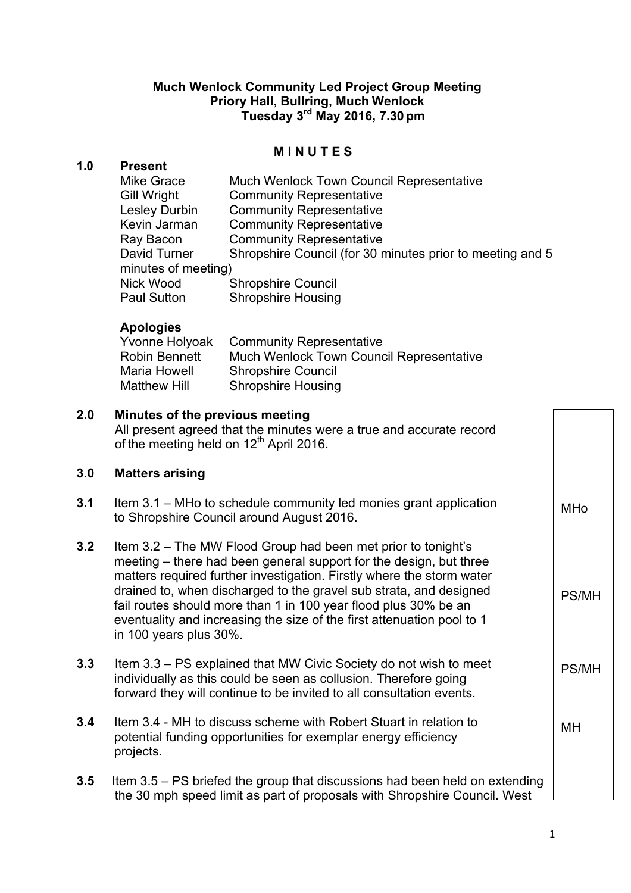## **Much Wenlock Community Led Project Group Meeting Priory Hall, Bullring, Much Wenlock Tuesday 3rd May 2016, 7.30pm**

### **M I N U T E S**

### **1.0 Present**

| <b>Mike Grace</b>    | Much Wenlock Town Council Representative                  |
|----------------------|-----------------------------------------------------------|
| Gill Wright          | <b>Community Representative</b>                           |
| <b>Lesley Durbin</b> | <b>Community Representative</b>                           |
| Kevin Jarman         | <b>Community Representative</b>                           |
| Ray Bacon            | <b>Community Representative</b>                           |
| David Turner         | Shropshire Council (for 30 minutes prior to meeting and 5 |
| minutes of meeting)  |                                                           |
| Nick Wood            | <b>Shropshire Council</b>                                 |
| <b>Paul Sutton</b>   | <b>Shropshire Housing</b>                                 |

#### **Apologies**

| Yvonne Holyoak      | <b>Community Representative</b>                 |
|---------------------|-------------------------------------------------|
| Robin Bennett       | <b>Much Wenlock Town Council Representative</b> |
| Maria Howell        | <b>Shropshire Council</b>                       |
| <b>Matthew Hill</b> | <b>Shropshire Housing</b>                       |

# **2.0 Minutes of the previous meeting** All present agreed that the minutes were a true and accurate record of the meeting held on 12<sup>th</sup> April 2016. **3.0 Matters arising 3.1** Item 3.1 – MHo to schedule community led monies grant application to Shropshire Council around August 2016. **3.2** Item 3.2 – The MW Flood Group had been met prior to tonight's meeting – there had been general support for the design, but three matters required further investigation. Firstly where the storm water drained to, when discharged to the gravel sub strata, and designed fail routes should more than 1 in 100 year flood plus 30% be an eventuality and increasing the size of the first attenuation pool to 1 in 100 years plus 30%. **3.3** Item 3.3 – PS explained that MW Civic Society do not wish to meet individually as this could be seen as collusion. Therefore going forward they will continue to be invited to all consultation events. **3.4** Item 3.4 - MH to discuss scheme with Robert Stuart in relation to potential funding opportunities for exemplar energy efficiency projects. **3.5** Item 3.5 – PS briefed the group that discussions had been held on extending the 30 mph speed limit as part of proposals with Shropshire Council. West MHo PS/MH PS/MH MH